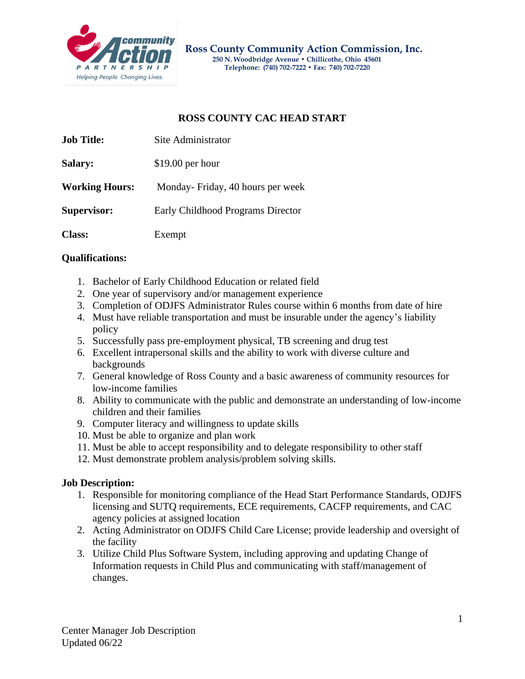

## **ROSS COUNTY CAC HEAD START**

| <b>Job Title:</b>     | Site Administrator                |
|-----------------------|-----------------------------------|
| Salary:               | $$19.00$ per hour                 |
| <b>Working Hours:</b> | Monday-Friday, 40 hours per week  |
| <b>Supervisor:</b>    | Early Childhood Programs Director |
| <b>Class:</b>         | Exempt                            |

## **Qualifications:**

- 1. Bachelor of Early Childhood Education or related field
- 2. One year of supervisory and/or management experience
- 3. Completion of ODJFS Administrator Rules course within 6 months from date of hire
- 4. Must have reliable transportation and must be insurable under the agency's liability policy
- 5. Successfully pass pre-employment physical, TB screening and drug test
- 6. Excellent intrapersonal skills and the ability to work with diverse culture and backgrounds
- 7. General knowledge of Ross County and a basic awareness of community resources for low-income families
- 8. Ability to communicate with the public and demonstrate an understanding of low-income children and their families
- 9. Computer literacy and willingness to update skills
- 10. Must be able to organize and plan work
- 11. Must be able to accept responsibility and to delegate responsibility to other staff
- 12. Must demonstrate problem analysis/problem solving skills.

## **Job Description:**

- 1. Responsible for monitoring compliance of the Head Start Performance Standards, ODJFS licensing and SUTQ requirements, ECE requirements, CACFP requirements, and CAC agency policies at assigned location
- 2. Acting Administrator on ODJFS Child Care License; provide leadership and oversight of the facility
- 3. Utilize Child Plus Software System, including approving and updating Change of Information requests in Child Plus and communicating with staff/management of changes.